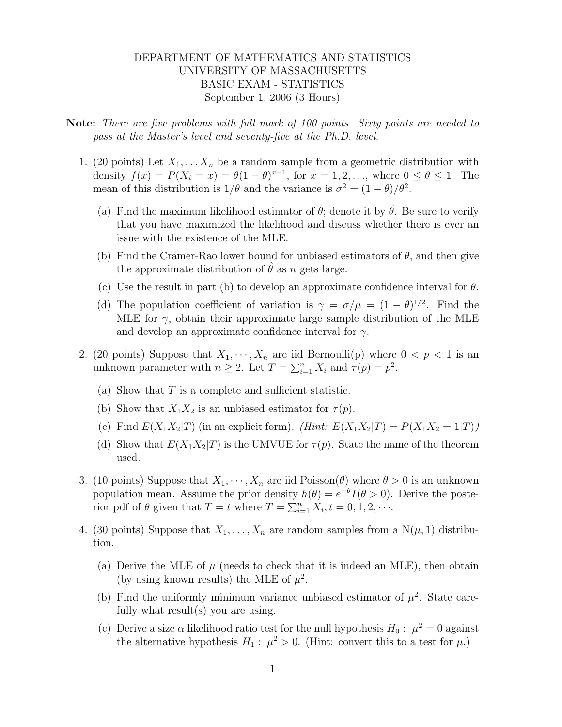## DEPARTMENT OF MATHEMATICS AND STATISTICS UNIVERSITY OF MASSACHUSETTS BASIC EXAM - STATISTICS September 1, 2006 (3 Hours)

- Note: There are five problems with full mark of 100 points. Sixty points are needed to pass at the Master's level and seventy-five at the Ph.D. level.
	- 1. (20 points) Let  $X_1, \ldots, X_n$  be a random sample from a geometric distribution with density  $f(x) = P(X_i = x) = \theta(1 - \theta)^{x-1}$ , for  $x = 1, 2, ...,$  where  $0 \le \theta \le 1$ . The mean of this distribution is  $1/\theta$  and the variance is  $\sigma^2 = (1 - \theta)/\theta^2$ .
		- (a) Find the maximum likelihood estimator of  $\theta$ ; denote it by  $\hat{\theta}$ . Be sure to verify that you have maximized the likelihood and discuss whether there is ever an issue with the existence of the MLE.
		- (b) Find the Cramer-Rao lower bound for unbiased estimators of  $\theta$ , and then give the approximate distribution of  $\hat{\theta}$  as n gets large.
		- (c) Use the result in part (b) to develop an approximate confidence interval for  $\theta$ .
		- (d) The population coefficient of variation is  $\gamma = \sigma/\mu = (1 \theta)^{1/2}$ . Find the MLE for  $\gamma$ , obtain their approximate large sample distribution of the MLE and develop an approximate confidence interval for  $\gamma$ .
	- 2. (20 points) Suppose that  $X_1, \dots, X_n$  are iid Bernoulli(p) where  $0 < p < 1$  is an unknown parameter with  $n \geq 2$ . Let  $T = \sum_{i=1}^{n} X_i$  and  $\tau(p) = p^2$ .
		- (a) Show that  $T$  is a complete and sufficient statistic.
		- (b) Show that  $X_1X_2$  is an unbiased estimator for  $\tau(p)$ .
		- (c) Find  $E(X_1X_2|T)$  (in an explicit form). (Hint:  $E(X_1X_2|T) = P(X_1X_2 = 1|T)$ )
		- (d) Show that  $E(X_1X_2|T)$  is the UMVUE for  $\tau(p)$ . State the name of the theorem used.
	- 3. (10 points) Suppose that  $X_1, \dots, X_n$  are iid Poisson( $\theta$ ) where  $\theta > 0$  is an unknown population mean. Assume the prior density  $h(\theta) = e^{-\theta} I(\theta > 0)$ . Derive the posterior pdf of  $\theta$  given that  $T = t$  where  $T = \sum_{i=1}^{n} X_i, t = 0, 1, 2, \cdots$ .
	- 4. (30 points) Suppose that  $X_1, \ldots, X_n$  are random samples from a  $N(\mu, 1)$  distribution.
		- (a) Derive the MLE of  $\mu$  (needs to check that it is indeed an MLE), then obtain (by using known results) the MLE of  $\mu^2$ .
		- (b) Find the uniformly minimum variance unbiased estimator of  $\mu^2$ . State carefully what  $result(s)$  you are using.
		- (c) Derive a size  $\alpha$  likelihood ratio test for the null hypothesis  $H_0: \mu^2 = 0$  against the alternative hypothesis  $H_1: \mu^2 > 0$ . (Hint: convert this to a test for  $\mu$ .)